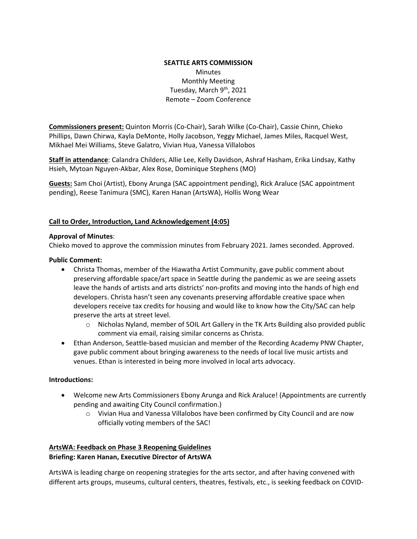### **SEATTLE ARTS COMMISSION Minutes** Monthly Meeting Tuesday, March 9<sup>th</sup>, 2021 Remote – Zoom Conference

**Commissioners present:** Quinton Morris (Co-Chair), Sarah Wilke (Co-Chair), Cassie Chinn, Chieko Phillips, Dawn Chirwa, Kayla DeMonte, Holly Jacobson, Yeggy Michael, James Miles, Racquel West, Mikhael Mei Williams, Steve Galatro, Vivian Hua, Vanessa Villalobos

**Staff in attendance**: Calandra Childers, Allie Lee, Kelly Davidson, Ashraf Hasham, Erika Lindsay, Kathy Hsieh, Mytoan Nguyen-Akbar, Alex Rose, Dominique Stephens (MO)

**Guests:** Sam Choi (Artist), Ebony Arunga (SAC appointment pending), Rick Araluce (SAC appointment pending), Reese Tanimura (SMC), Karen Hanan (ArtsWA), Hollis Wong Wear

#### **Call to Order, Introduction, Land Acknowledgement (4:05)**

#### **Approval of Minutes**:

Chieko moved to approve the commission minutes from February 2021. James seconded. Approved.

#### **Public Comment:**

- Christa Thomas, member of the Hiawatha Artist Community, gave public comment about preserving affordable space/art space in Seattle during the pandemic as we are seeing assets leave the hands of artists and arts districts' non-profits and moving into the hands of high end developers. Christa hasn't seen any covenants preserving affordable creative space when developers receive tax credits for housing and would like to know how the City/SAC can help preserve the arts at street level.
	- o Nicholas Nyland, member of SOIL Art Gallery in the TK Arts Building also provided public comment via email, raising similar concerns as Christa.
- Ethan Anderson, Seattle-based musician and member of the Recording Academy PNW Chapter, gave public comment about bringing awareness to the needs of local live music artists and venues. Ethan is interested in being more involved in local arts advocacy.

#### **Introductions:**

- Welcome new Arts Commissioners Ebony Arunga and Rick Araluce! (Appointments are currently pending and awaiting City Council confirmation.)
	- $\circ$  Vivian Hua and Vanessa Villalobos have been confirmed by City Council and are now officially voting members of the SAC!

#### **ArtsWA: Feedback on Phase 3 Reopening Guidelines Briefing: Karen Hanan, Executive Director of ArtsWA**

ArtsWA is leading charge on reopening strategies for the arts sector, and after having convened with different arts groups, museums, cultural centers, theatres, festivals, etc., is seeking feedback on COVID-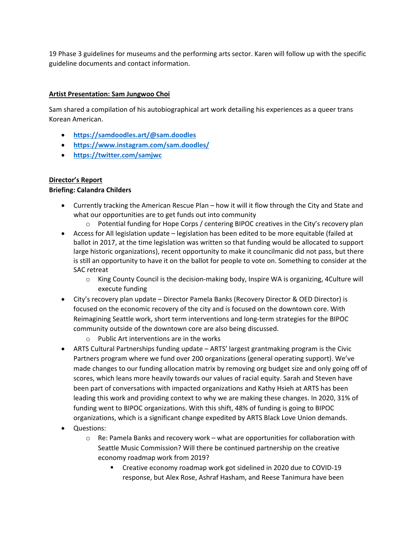19 Phase 3 guidelines for museums and the performing arts sector. Karen will follow up with the specific guideline documents and contact information.

### **Artist Presentation: Sam Jungwoo Choi**

Sam shared a compilation of his autobiographical art work detailing his experiences as a queer trans Korean American.

- **<https://samdoodles.art/@sam.doodles>**
- **<https://www.instagram.com/sam.doodles/>**
- **<https://twitter.com/samjwc>**

## **Director's Report**

### **Briefing: Calandra Childers**

- Currently tracking the American Rescue Plan how it will it flow through the City and State and what our opportunities are to get funds out into community
	- o Potential funding for Hope Corps / centering BIPOC creatives in the City's recovery plan
- Access for All legislation update legislation has been edited to be more equitable (failed at ballot in 2017, at the time legislation was written so that funding would be allocated to support large historic organizations), recent opportunity to make it councilmanic did not pass, but there is still an opportunity to have it on the ballot for people to vote on. Something to consider at the SAC retreat
	- o King County Council is the decision-making body, Inspire WA is organizing, 4Culture will execute funding
- City's recovery plan update Director Pamela Banks (Recovery Director & OED Director) is focused on the economic recovery of the city and is focused on the downtown core. With Reimagining Seattle work, short term interventions and long-term strategies for the BIPOC community outside of the downtown core are also being discussed.
	- o Public Art interventions are in the works
- ARTS Cultural Partnerships funding update ARTS' largest grantmaking program is the Civic Partners program where we fund over 200 organizations (general operating support). We've made changes to our funding allocation matrix by removing org budget size and only going off of scores, which leans more heavily towards our values of racial equity. Sarah and Steven have been part of conversations with impacted organizations and Kathy Hsieh at ARTS has been leading this work and providing context to why we are making these changes. In 2020, 31% of funding went to BIPOC organizations. With this shift, 48% of funding is going to BIPOC organizations, which is a significant change expedited by ARTS Black Love Union demands.
- Questions:
	- $\circ$  Re: Pamela Banks and recovery work what are opportunities for collaboration with Seattle Music Commission? Will there be continued partnership on the creative economy roadmap work from 2019?
		- **E** Creative economy roadmap work got sidelined in 2020 due to COVID-19 response, but Alex Rose, Ashraf Hasham, and Reese Tanimura have been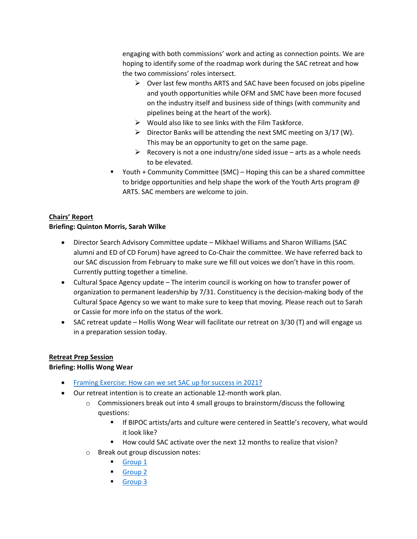engaging with both commissions' work and acting as connection points. We are hoping to identify some of the roadmap work during the SAC retreat and how the two commissions' roles intersect.

- $\triangleright$  Over last few months ARTS and SAC have been focused on jobs pipeline and youth opportunities while OFM and SMC have been more focused on the industry itself and business side of things (with community and pipelines being at the heart of the work).
- $\triangleright$  Would also like to see links with the Film Taskforce.
- $\triangleright$  Director Banks will be attending the next SMC meeting on 3/17 (W). This may be an opportunity to get on the same page.
- $\triangleright$  Recovery is not a one industry/one sided issue arts as a whole needs to be elevated.
- Youth + Community Committee (SMC) Hoping this can be a shared committee to bridge opportunities and help shape the work of the Youth Arts program @ ARTS. SAC members are welcome to join.

## **Chairs' Report Briefing: Quinton Morris, Sarah Wilke**

- Director Search Advisory Committee update Mikhael Williams and Sharon Williams (SAC alumni and ED of CD Forum) have agreed to Co-Chair the committee. We have referred back to our SAC discussion from February to make sure we fill out voices we don't have in this room. Currently putting together a timeline.
- Cultural Space Agency update The interim council is working on how to transfer power of organization to permanent leadership by 7/31. Constituency is the decision-making body of the Cultural Space Agency so we want to make sure to keep that moving. Please reach out to Sarah or Cassie for more info on the status of the work.
- SAC retreat update Hollis Wong Wear will facilitate our retreat on 3/30 (T) and will engage us in a preparation session today.

# **Retreat Prep Session**

### **Briefing: Hollis Wong Wear**

- [Framing Exercise: How can we set SAC up for success in 2021?](https://docs.google.com/presentation/d/1u52NZoCECnmnJbIaXgB87T3gVSHdDFq4ddVtCKpKQbA/edit#slide=id.gc447ec8974_2_65)
- Our retreat intention is to create an actionable 12-month work plan.
	- $\circ$  Commissioners break out into 4 small groups to brainstorm/discuss the following questions:
		- **If BIPOC artists/arts and culture were centered in Seattle's recovery, what would** it look like?
		- How could SAC activate over the next 12 months to realize that vision?
	- o Break out group discussion notes:
		- [Group 1](https://protect2.fireeye.com/v1/url?k=128f1a19-4d1422fd-128f32a9-8621b744bf41-b91cdab8fde6381e&q=1&e=456cf243-c91a-43bb-9c63-4643ee95b615&u=https%3A%2F%2Fdocs.google.com%2Fpresentation%2Fd%2F1Ao7rC-50jDI4R_EHSZv16X-Li7XERAF3_G2jw4bOnZ0%2Fedit%3Fusp%3Dsharing)
		- [Group 2](https://protect2.fireeye.com/v1/url?k=33dc1293-6c472a77-33dc3a23-8621b744bf41-d690082b5d5afc17&q=1&e=456cf243-c91a-43bb-9c63-4643ee95b615&u=https%3A%2F%2Fdocs.google.com%2Fpresentation%2Fd%2F1_1uXXpLSx_85UtI3ThTWa7TmNEt6EU6zt8lR0JAnQSA%2Fedit%3Fusp%3Dsharing)
		- [Group 3](https://protect2.fireeye.com/v1/url?k=53174949-0c8c71ad-531761f9-8621b744bf41-6e5cda4a930d128f&q=1&e=456cf243-c91a-43bb-9c63-4643ee95b615&u=https%3A%2F%2Fdocs.google.com%2Fpresentation%2Fd%2F1oRKy2kYODYDhkuC1sZY1-5PxD9WxyRYeT18DIsK5neA%2Fedit%3Fusp%3Dsharing)